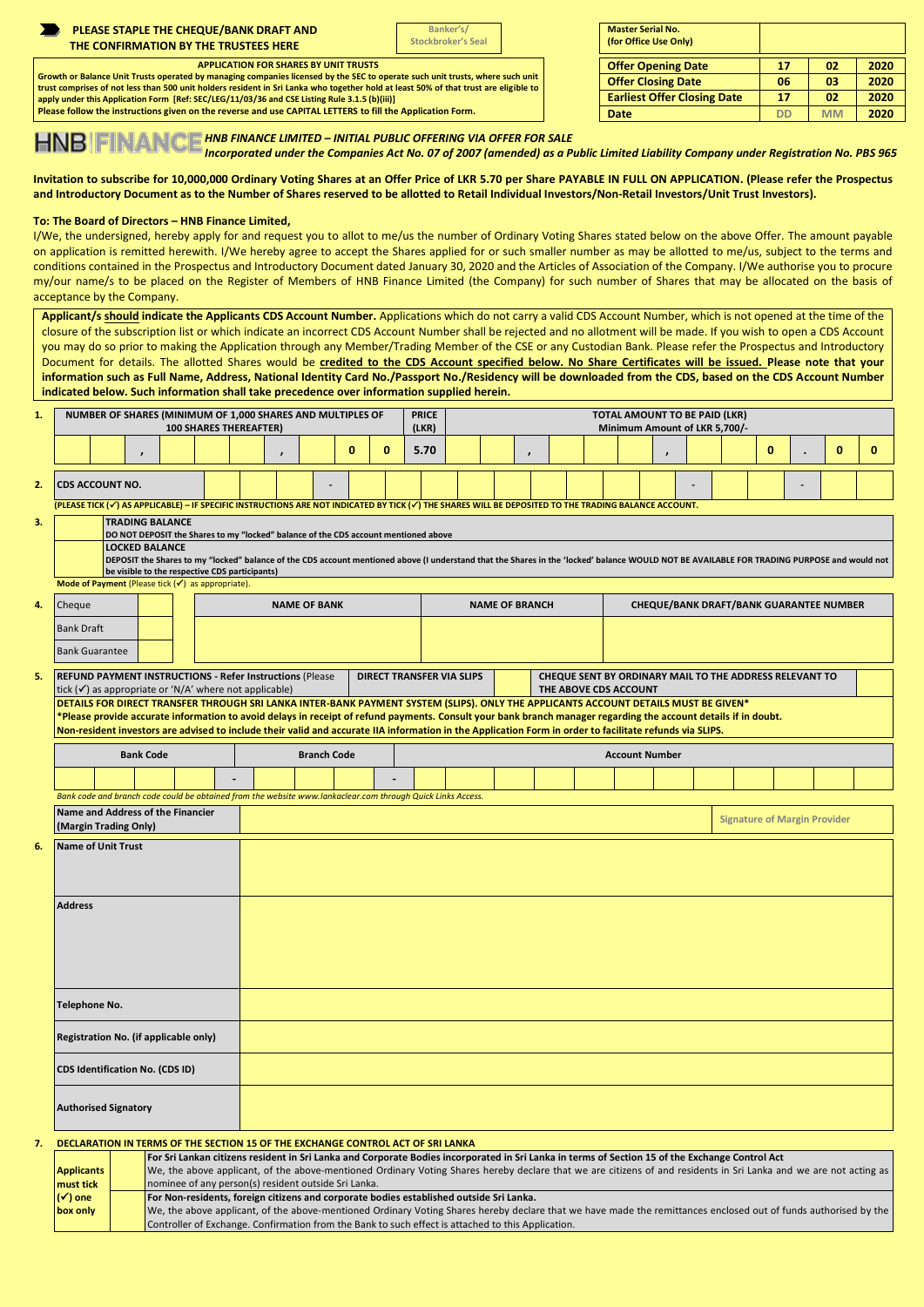|                                                                                                                                                                                                                                                                       |                                                                                                                                                                                                                                                                                                                                                                                                                                                                                                                     |                                                                                                                               |                        |  |                                                | PLEASE STAPLE THE CHEQUE/BANK DRAFT AND<br>THE CONFIRMATION BY THE TRUSTEES HERE                                                                                                                                                                                                                       |                                     |                                                                                                    |              |                       | Banker's/<br><b>Stockbroker's Seal</b> |                                  |               |  |                                                                | <b>Master Serial No.</b><br>(for Office Use Only)                                |                                                |                                                                                                                                                                                             |                 |    |                 |              |  |
|-----------------------------------------------------------------------------------------------------------------------------------------------------------------------------------------------------------------------------------------------------------------------|---------------------------------------------------------------------------------------------------------------------------------------------------------------------------------------------------------------------------------------------------------------------------------------------------------------------------------------------------------------------------------------------------------------------------------------------------------------------------------------------------------------------|-------------------------------------------------------------------------------------------------------------------------------|------------------------|--|------------------------------------------------|--------------------------------------------------------------------------------------------------------------------------------------------------------------------------------------------------------------------------------------------------------------------------------------------------------|-------------------------------------|----------------------------------------------------------------------------------------------------|--------------|-----------------------|----------------------------------------|----------------------------------|---------------|--|----------------------------------------------------------------|----------------------------------------------------------------------------------|------------------------------------------------|---------------------------------------------------------------------------------------------------------------------------------------------------------------------------------------------|-----------------|----|-----------------|--------------|--|
| <b>APPLICATION FOR SHARES BY UNIT TRUSTS</b>                                                                                                                                                                                                                          |                                                                                                                                                                                                                                                                                                                                                                                                                                                                                                                     |                                                                                                                               |                        |  |                                                |                                                                                                                                                                                                                                                                                                        |                                     |                                                                                                    |              |                       |                                        |                                  |               |  |                                                                | <b>Offer Opening Date</b>                                                        |                                                |                                                                                                                                                                                             |                 | 17 | 02              | 2020         |  |
| Growth or Balance Unit Trusts operated by managing companies licensed by the SEC to operate such unit trusts, where such unit<br>trust comprises of not less than 500 unit holders resident in Sri Lanka who together hold at least 50% of that trust are eligible to |                                                                                                                                                                                                                                                                                                                                                                                                                                                                                                                     |                                                                                                                               |                        |  |                                                |                                                                                                                                                                                                                                                                                                        |                                     |                                                                                                    |              |                       |                                        |                                  |               |  |                                                                | <b>Offer Closing Date</b>                                                        |                                                |                                                                                                                                                                                             | 06              |    | 03              | 2020         |  |
|                                                                                                                                                                                                                                                                       | apply under this Application Form [Ref: SEC/LEG/11/03/36 and CSE Listing Rule 3.1.5 (b)(iii)]<br>Please follow the instructions given on the reverse and use CAPITAL LETTERS to fill the Application Form.                                                                                                                                                                                                                                                                                                          |                                                                                                                               |                        |  |                                                |                                                                                                                                                                                                                                                                                                        |                                     |                                                                                                    |              |                       |                                        |                                  |               |  |                                                                |                                                                                  |                                                | <b>Earliest Offer Closing Date</b>                                                                                                                                                          | 17<br><b>DD</b> |    | 02<br><b>MM</b> | 2020<br>2020 |  |
| <b>Date</b><br>HNB   FINANCE HNB FINANCE LIMITED – INITIAL PUBLIC OFFERING VIA OFFER FOR SALE<br>HNB   FINANCE <i>Incorporated under the Companies Act No. 07 of 2007 (amended) as a Public Limited Liability Company under Registration No. PBS 9</i>                |                                                                                                                                                                                                                                                                                                                                                                                                                                                                                                                     |                                                                                                                               |                        |  |                                                |                                                                                                                                                                                                                                                                                                        |                                     |                                                                                                    |              |                       |                                        |                                  |               |  |                                                                |                                                                                  |                                                |                                                                                                                                                                                             |                 |    |                 |              |  |
|                                                                                                                                                                                                                                                                       | Invitation to subscribe for 10,000,000 Ordinary Voting Shares at an Offer Price of LKR 5.70 per Share PAYABLE IN FULL ON APPLICATION. (Please refer the Prospectus<br>and Introductory Document as to the Number of Shares reserved to be allotted to Retail Individual Investors/Non-Retail Investors/Unit Trust Investors).                                                                                                                                                                                       |                                                                                                                               |                        |  |                                                |                                                                                                                                                                                                                                                                                                        |                                     |                                                                                                    |              |                       |                                        |                                  |               |  |                                                                |                                                                                  |                                                |                                                                                                                                                                                             |                 |    |                 |              |  |
|                                                                                                                                                                                                                                                                       | To: The Board of Directors - HNB Finance Limited,                                                                                                                                                                                                                                                                                                                                                                                                                                                                   |                                                                                                                               |                        |  |                                                |                                                                                                                                                                                                                                                                                                        |                                     |                                                                                                    |              |                       |                                        |                                  |               |  |                                                                |                                                                                  |                                                |                                                                                                                                                                                             |                 |    |                 |              |  |
|                                                                                                                                                                                                                                                                       | I/We, the undersigned, hereby apply for and request you to allot to me/us the number of Ordinary Voting Shares stated below on the above Offer. The amount payable<br>on application is remitted herewith. I/We hereby agree to accept the Shares applied for or such smaller number as may be allotted to me/us, subject to the terms and<br>conditions contained in the Prospectus and Introductory Document dated January 30, 2020 and the Articles of Association of the Company. I/We authorise you to procure |                                                                                                                               |                        |  |                                                |                                                                                                                                                                                                                                                                                                        |                                     |                                                                                                    |              |                       |                                        |                                  |               |  |                                                                |                                                                                  |                                                |                                                                                                                                                                                             |                 |    |                 |              |  |
|                                                                                                                                                                                                                                                                       | my/our name/s to be placed on the Register of Members of HNB Finance Limited (the Company) for such number of Shares that may be allocated on the basis of<br>acceptance by the Company.                                                                                                                                                                                                                                                                                                                            |                                                                                                                               |                        |  |                                                |                                                                                                                                                                                                                                                                                                        |                                     |                                                                                                    |              |                       |                                        |                                  |               |  |                                                                |                                                                                  |                                                |                                                                                                                                                                                             |                 |    |                 |              |  |
|                                                                                                                                                                                                                                                                       | Applicant/s should indicate the Applicants CDS Account Number. Applications which do not carry a valid CDS Account Number, which is not opened at the time of the                                                                                                                                                                                                                                                                                                                                                   |                                                                                                                               |                        |  |                                                |                                                                                                                                                                                                                                                                                                        |                                     |                                                                                                    |              |                       |                                        |                                  |               |  |                                                                |                                                                                  |                                                |                                                                                                                                                                                             |                 |    |                 |              |  |
|                                                                                                                                                                                                                                                                       | closure of the subscription list or which indicate an incorrect CDS Account Number shall be rejected and no allotment will be made. If you wish to open a CDS Account                                                                                                                                                                                                                                                                                                                                               |                                                                                                                               |                        |  |                                                |                                                                                                                                                                                                                                                                                                        |                                     |                                                                                                    |              |                       |                                        |                                  |               |  |                                                                |                                                                                  |                                                |                                                                                                                                                                                             |                 |    |                 |              |  |
|                                                                                                                                                                                                                                                                       | you may do so prior to making the Application through any Member/Trading Member of the CSE or any Custodian Bank. Please refer the Prospectus and Introductory<br>Document for details. The allotted Shares would be credited to the CDS Account specified below. No Share Certificates will be issued. Please note that your                                                                                                                                                                                       |                                                                                                                               |                        |  |                                                |                                                                                                                                                                                                                                                                                                        |                                     |                                                                                                    |              |                       |                                        |                                  |               |  |                                                                |                                                                                  |                                                |                                                                                                                                                                                             |                 |    |                 |              |  |
|                                                                                                                                                                                                                                                                       | information such as Full Name, Address, National Identity Card No./Passport No./Residency will be downloaded from the CDS, based on the CDS Account Number                                                                                                                                                                                                                                                                                                                                                          |                                                                                                                               |                        |  |                                                |                                                                                                                                                                                                                                                                                                        |                                     |                                                                                                    |              |                       |                                        |                                  |               |  |                                                                |                                                                                  |                                                |                                                                                                                                                                                             |                 |    |                 |              |  |
|                                                                                                                                                                                                                                                                       | indicated below. Such information shall take precedence over information supplied herein.                                                                                                                                                                                                                                                                                                                                                                                                                           |                                                                                                                               |                        |  |                                                |                                                                                                                                                                                                                                                                                                        |                                     |                                                                                                    |              |                       |                                        |                                  |               |  |                                                                |                                                                                  |                                                |                                                                                                                                                                                             |                 |    |                 |              |  |
| 1.                                                                                                                                                                                                                                                                    |                                                                                                                                                                                                                                                                                                                                                                                                                                                                                                                     | NUMBER OF SHARES (MINIMUM OF 1,000 SHARES AND MULTIPLES OF<br><b>100 SHARES THEREAFTER)</b>                                   |                        |  |                                                |                                                                                                                                                                                                                                                                                                        |                                     |                                                                                                    |              | <b>PRICE</b><br>(LKR) |                                        |                                  |               |  | TOTAL AMOUNT TO BE PAID (LKR)<br>Minimum Amount of LKR 5,700/- |                                                                                  |                                                |                                                                                                                                                                                             |                 |    |                 |              |  |
|                                                                                                                                                                                                                                                                       |                                                                                                                                                                                                                                                                                                                                                                                                                                                                                                                     | $\overline{ }$                                                                                                                |                        |  |                                                | ,                                                                                                                                                                                                                                                                                                      |                                     | 0                                                                                                  | $\mathbf{0}$ | 5.70                  |                                        |                                  | $\pmb{\cdot}$ |  |                                                                |                                                                                  | $\pmb{\cdot}$                                  |                                                                                                                                                                                             | $\mathbf 0$     |    | $\mathbf{0}$    | 0            |  |
| 2.                                                                                                                                                                                                                                                                    | <b>CDS ACCOUNT NO.</b><br>(PLEASE TICK (√) AS APPLICABLE) – IF SPECIFIC INSTRUCTIONS ARE NOT INDICATED BY TICK (√) THE SHARES WILL BE DEPOSITED TO THE TRADING BALANCE ACCOUNT.                                                                                                                                                                                                                                                                                                                                     |                                                                                                                               |                        |  |                                                |                                                                                                                                                                                                                                                                                                        |                                     |                                                                                                    |              |                       |                                        |                                  |               |  |                                                                |                                                                                  |                                                |                                                                                                                                                                                             |                 |    |                 |              |  |
| з.                                                                                                                                                                                                                                                                    |                                                                                                                                                                                                                                                                                                                                                                                                                                                                                                                     |                                                                                                                               | <b>TRADING BALANCE</b> |  |                                                |                                                                                                                                                                                                                                                                                                        |                                     |                                                                                                    |              |                       |                                        |                                  |               |  |                                                                |                                                                                  |                                                |                                                                                                                                                                                             |                 |    |                 |              |  |
|                                                                                                                                                                                                                                                                       |                                                                                                                                                                                                                                                                                                                                                                                                                                                                                                                     |                                                                                                                               |                        |  |                                                |                                                                                                                                                                                                                                                                                                        |                                     | DO NOT DEPOSIT the Shares to my "locked" balance of the CDS account mentioned above                |              |                       |                                        |                                  |               |  |                                                                |                                                                                  |                                                |                                                                                                                                                                                             |                 |    |                 |              |  |
|                                                                                                                                                                                                                                                                       |                                                                                                                                                                                                                                                                                                                                                                                                                                                                                                                     |                                                                                                                               | <b>LOCKED BALANCE</b>  |  |                                                |                                                                                                                                                                                                                                                                                                        |                                     |                                                                                                    |              |                       |                                        |                                  |               |  |                                                                |                                                                                  |                                                | DEPOSIT the Shares to my "locked" balance of the CDS account mentioned above (I understand that the Shares in the 'locked' balance WOULD NOT BE AVAILABLE FOR TRADING PURPOSE and would not |                 |    |                 |              |  |
|                                                                                                                                                                                                                                                                       | Mode of Payment (Please tick $(v')$ as appropriate).                                                                                                                                                                                                                                                                                                                                                                                                                                                                |                                                                                                                               |                        |  | be visible to the respective CDS participants) |                                                                                                                                                                                                                                                                                                        |                                     |                                                                                                    |              |                       |                                        |                                  |               |  |                                                                |                                                                                  |                                                |                                                                                                                                                                                             |                 |    |                 |              |  |
| 4.                                                                                                                                                                                                                                                                    | Cheque                                                                                                                                                                                                                                                                                                                                                                                                                                                                                                              |                                                                                                                               |                        |  | <b>NAME OF BANK</b>                            |                                                                                                                                                                                                                                                                                                        |                                     |                                                                                                    |              | <b>NAME OF BRANCH</b> |                                        |                                  |               |  |                                                                |                                                                                  | <b>CHEQUE/BANK DRAFT/BANK GUARANTEE NUMBER</b> |                                                                                                                                                                                             |                 |    |                 |              |  |
|                                                                                                                                                                                                                                                                       | <b>Bank Draft</b>                                                                                                                                                                                                                                                                                                                                                                                                                                                                                                   |                                                                                                                               |                        |  |                                                |                                                                                                                                                                                                                                                                                                        |                                     |                                                                                                    |              |                       |                                        |                                  |               |  |                                                                |                                                                                  |                                                |                                                                                                                                                                                             |                 |    |                 |              |  |
|                                                                                                                                                                                                                                                                       | <b>Bank Guarantee</b>                                                                                                                                                                                                                                                                                                                                                                                                                                                                                               |                                                                                                                               |                        |  |                                                |                                                                                                                                                                                                                                                                                                        |                                     |                                                                                                    |              |                       |                                        |                                  |               |  |                                                                |                                                                                  |                                                |                                                                                                                                                                                             |                 |    |                 |              |  |
|                                                                                                                                                                                                                                                                       |                                                                                                                                                                                                                                                                                                                                                                                                                                                                                                                     |                                                                                                                               |                        |  |                                                |                                                                                                                                                                                                                                                                                                        |                                     |                                                                                                    |              |                       |                                        |                                  |               |  |                                                                |                                                                                  |                                                |                                                                                                                                                                                             |                 |    |                 |              |  |
| 5.                                                                                                                                                                                                                                                                    |                                                                                                                                                                                                                                                                                                                                                                                                                                                                                                                     | REFUND PAYMENT INSTRUCTIONS - Refer Instructions (Please<br>tick $(\checkmark)$ as appropriate or 'N/A' where not applicable) |                        |  |                                                |                                                                                                                                                                                                                                                                                                        |                                     |                                                                                                    |              |                       |                                        | <b>DIRECT TRANSFER VIA SLIPS</b> |               |  |                                                                | CHEQUE SENT BY ORDINARY MAIL TO THE ADDRESS RELEVANT TO<br>THE ABOVE CDS ACCOUNT |                                                |                                                                                                                                                                                             |                 |    |                 |              |  |
|                                                                                                                                                                                                                                                                       |                                                                                                                                                                                                                                                                                                                                                                                                                                                                                                                     |                                                                                                                               |                        |  |                                                | DETAILS FOR DIRECT TRANSFER THROUGH SRI LANKA INTER-BANK PAYMENT SYSTEM (SLIPS). ONLY THE APPLICANTS ACCOUNT DETAILS MUST BE GIVEN*<br>*Please provide accurate information to avoid delays in receipt of refund payments. Consult your bank branch manager regarding the account details if in doubt. |                                     |                                                                                                    |              |                       |                                        |                                  |               |  |                                                                |                                                                                  |                                                |                                                                                                                                                                                             |                 |    |                 |              |  |
|                                                                                                                                                                                                                                                                       | Non-resident investors are advised to include their valid and accurate IIA information in the Application Form in order to facilitate refunds via SLIPS.                                                                                                                                                                                                                                                                                                                                                            |                                                                                                                               |                        |  |                                                |                                                                                                                                                                                                                                                                                                        |                                     |                                                                                                    |              |                       |                                        |                                  |               |  |                                                                |                                                                                  |                                                |                                                                                                                                                                                             |                 |    |                 |              |  |
|                                                                                                                                                                                                                                                                       |                                                                                                                                                                                                                                                                                                                                                                                                                                                                                                                     | <b>Bank Code</b>                                                                                                              |                        |  |                                                |                                                                                                                                                                                                                                                                                                        | <b>Branch Code</b>                  |                                                                                                    |              |                       |                                        |                                  |               |  | <b>Account Number</b>                                          |                                                                                  |                                                |                                                                                                                                                                                             |                 |    |                 |              |  |
|                                                                                                                                                                                                                                                                       |                                                                                                                                                                                                                                                                                                                                                                                                                                                                                                                     |                                                                                                                               |                        |  |                                                |                                                                                                                                                                                                                                                                                                        |                                     |                                                                                                    |              |                       |                                        |                                  |               |  |                                                                |                                                                                  |                                                |                                                                                                                                                                                             |                 |    |                 |              |  |
|                                                                                                                                                                                                                                                                       | Bank code and branch code could be obtained from the website www.lankaclear.com through Quick Links Access.                                                                                                                                                                                                                                                                                                                                                                                                         |                                                                                                                               |                        |  |                                                |                                                                                                                                                                                                                                                                                                        |                                     |                                                                                                    |              |                       |                                        |                                  |               |  |                                                                |                                                                                  |                                                |                                                                                                                                                                                             |                 |    |                 |              |  |
|                                                                                                                                                                                                                                                                       | Name and Address of the Financier                                                                                                                                                                                                                                                                                                                                                                                                                                                                                   |                                                                                                                               |                        |  |                                                |                                                                                                                                                                                                                                                                                                        |                                     |                                                                                                    |              |                       |                                        |                                  |               |  |                                                                |                                                                                  |                                                |                                                                                                                                                                                             |                 |    |                 |              |  |
|                                                                                                                                                                                                                                                                       |                                                                                                                                                                                                                                                                                                                                                                                                                                                                                                                     | (Margin Trading Only)                                                                                                         |                        |  |                                                |                                                                                                                                                                                                                                                                                                        | <b>Signature of Margin Provider</b> |                                                                                                    |              |                       |                                        |                                  |               |  |                                                                |                                                                                  |                                                |                                                                                                                                                                                             |                 |    |                 |              |  |
| 6.                                                                                                                                                                                                                                                                    | <b>Name of Unit Trust</b>                                                                                                                                                                                                                                                                                                                                                                                                                                                                                           |                                                                                                                               |                        |  |                                                |                                                                                                                                                                                                                                                                                                        |                                     |                                                                                                    |              |                       |                                        |                                  |               |  |                                                                |                                                                                  |                                                |                                                                                                                                                                                             |                 |    |                 |              |  |
|                                                                                                                                                                                                                                                                       |                                                                                                                                                                                                                                                                                                                                                                                                                                                                                                                     |                                                                                                                               |                        |  |                                                |                                                                                                                                                                                                                                                                                                        |                                     |                                                                                                    |              |                       |                                        |                                  |               |  |                                                                |                                                                                  |                                                |                                                                                                                                                                                             |                 |    |                 |              |  |
|                                                                                                                                                                                                                                                                       |                                                                                                                                                                                                                                                                                                                                                                                                                                                                                                                     |                                                                                                                               |                        |  |                                                |                                                                                                                                                                                                                                                                                                        |                                     |                                                                                                    |              |                       |                                        |                                  |               |  |                                                                |                                                                                  |                                                |                                                                                                                                                                                             |                 |    |                 |              |  |
|                                                                                                                                                                                                                                                                       | <b>Address</b>                                                                                                                                                                                                                                                                                                                                                                                                                                                                                                      |                                                                                                                               |                        |  |                                                |                                                                                                                                                                                                                                                                                                        |                                     |                                                                                                    |              |                       |                                        |                                  |               |  |                                                                |                                                                                  |                                                |                                                                                                                                                                                             |                 |    |                 |              |  |
|                                                                                                                                                                                                                                                                       |                                                                                                                                                                                                                                                                                                                                                                                                                                                                                                                     |                                                                                                                               |                        |  |                                                |                                                                                                                                                                                                                                                                                                        |                                     |                                                                                                    |              |                       |                                        |                                  |               |  |                                                                |                                                                                  |                                                |                                                                                                                                                                                             |                 |    |                 |              |  |
|                                                                                                                                                                                                                                                                       |                                                                                                                                                                                                                                                                                                                                                                                                                                                                                                                     |                                                                                                                               |                        |  |                                                |                                                                                                                                                                                                                                                                                                        |                                     |                                                                                                    |              |                       |                                        |                                  |               |  |                                                                |                                                                                  |                                                |                                                                                                                                                                                             |                 |    |                 |              |  |
|                                                                                                                                                                                                                                                                       |                                                                                                                                                                                                                                                                                                                                                                                                                                                                                                                     |                                                                                                                               |                        |  |                                                |                                                                                                                                                                                                                                                                                                        |                                     |                                                                                                    |              |                       |                                        |                                  |               |  |                                                                |                                                                                  |                                                |                                                                                                                                                                                             |                 |    |                 |              |  |
|                                                                                                                                                                                                                                                                       |                                                                                                                                                                                                                                                                                                                                                                                                                                                                                                                     |                                                                                                                               |                        |  |                                                |                                                                                                                                                                                                                                                                                                        |                                     |                                                                                                    |              |                       |                                        |                                  |               |  |                                                                |                                                                                  |                                                |                                                                                                                                                                                             |                 |    |                 |              |  |
|                                                                                                                                                                                                                                                                       | Telephone No.                                                                                                                                                                                                                                                                                                                                                                                                                                                                                                       |                                                                                                                               |                        |  |                                                |                                                                                                                                                                                                                                                                                                        |                                     |                                                                                                    |              |                       |                                        |                                  |               |  |                                                                |                                                                                  |                                                |                                                                                                                                                                                             |                 |    |                 |              |  |
|                                                                                                                                                                                                                                                                       | Registration No. (if applicable only)                                                                                                                                                                                                                                                                                                                                                                                                                                                                               |                                                                                                                               |                        |  |                                                |                                                                                                                                                                                                                                                                                                        |                                     |                                                                                                    |              |                       |                                        |                                  |               |  |                                                                |                                                                                  |                                                |                                                                                                                                                                                             |                 |    |                 |              |  |
|                                                                                                                                                                                                                                                                       |                                                                                                                                                                                                                                                                                                                                                                                                                                                                                                                     |                                                                                                                               |                        |  |                                                |                                                                                                                                                                                                                                                                                                        |                                     |                                                                                                    |              |                       |                                        |                                  |               |  |                                                                |                                                                                  |                                                |                                                                                                                                                                                             |                 |    |                 |              |  |
|                                                                                                                                                                                                                                                                       | <b>CDS Identification No. (CDS ID)</b>                                                                                                                                                                                                                                                                                                                                                                                                                                                                              |                                                                                                                               |                        |  |                                                |                                                                                                                                                                                                                                                                                                        |                                     |                                                                                                    |              |                       |                                        |                                  |               |  |                                                                |                                                                                  |                                                |                                                                                                                                                                                             |                 |    |                 |              |  |
|                                                                                                                                                                                                                                                                       | <b>Authorised Signatory</b>                                                                                                                                                                                                                                                                                                                                                                                                                                                                                         |                                                                                                                               |                        |  |                                                |                                                                                                                                                                                                                                                                                                        |                                     |                                                                                                    |              |                       |                                        |                                  |               |  |                                                                |                                                                                  |                                                |                                                                                                                                                                                             |                 |    |                 |              |  |
| 7.                                                                                                                                                                                                                                                                    | DECLARATION IN TERMS OF THE SECTION 15 OF THE EXCHANGE CONTROL ACT OF SRI LANKA                                                                                                                                                                                                                                                                                                                                                                                                                                     |                                                                                                                               |                        |  |                                                |                                                                                                                                                                                                                                                                                                        |                                     |                                                                                                    |              |                       |                                        |                                  |               |  |                                                                |                                                                                  |                                                |                                                                                                                                                                                             |                 |    |                 |              |  |
|                                                                                                                                                                                                                                                                       | For Sri Lankan citizens resident in Sri Lanka and Corporate Bodies incorporated in Sri Lanka in terms of Section 15 of the Exchange Control Act<br>We, the above applicant, of the above-mentioned Ordinary Voting Shares hereby declare that we are citizens of and residents in Sri Lanka and we are not acting as<br><b>Applicants</b><br>must tick<br>nominee of any person(s) resident outside Sri Lanka.                                                                                                      |                                                                                                                               |                        |  |                                                |                                                                                                                                                                                                                                                                                                        |                                     |                                                                                                    |              |                       |                                        |                                  |               |  |                                                                |                                                                                  |                                                |                                                                                                                                                                                             |                 |    |                 |              |  |
|                                                                                                                                                                                                                                                                       | $(\checkmark)$ one                                                                                                                                                                                                                                                                                                                                                                                                                                                                                                  |                                                                                                                               |                        |  |                                                |                                                                                                                                                                                                                                                                                                        |                                     | For Non-residents, foreign citizens and corporate bodies established outside Sri Lanka.            |              |                       |                                        |                                  |               |  |                                                                |                                                                                  |                                                |                                                                                                                                                                                             |                 |    |                 |              |  |
|                                                                                                                                                                                                                                                                       | box only                                                                                                                                                                                                                                                                                                                                                                                                                                                                                                            |                                                                                                                               |                        |  |                                                |                                                                                                                                                                                                                                                                                                        |                                     | Controller of Exchange. Confirmation from the Bank to such effect is attached to this Application. |              |                       |                                        |                                  |               |  |                                                                |                                                                                  |                                                | We, the above applicant, of the above-mentioned Ordinary Voting Shares hereby declare that we have made the remittances enclosed out of funds authorised by the                             |                 |    |                 |              |  |